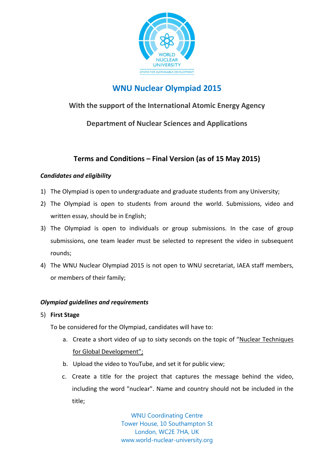

# **WNU Nuclear Olympiad 2015**

## **With the support of the International Atomic Energy Agency**

**Department of Nuclear Sciences and Applications**

# **Terms and Conditions – Final Version (as of 15 May 2015)**

### *Candidates and eligibility*

- 1) The Olympiad is open to undergraduate and graduate students from any University;
- 2) The Olympiad is open to students from around the world. Submissions, video and written essay, should be in English;
- 3) The Olympiad is open to individuals or group submissions. In the case of group submissions, one team leader must be selected to represent the video in subsequent rounds;
- 4) The WNU Nuclear Olympiad 2015 is not open to WNU secretariat, IAEA staff members, or members of their family;

### *Olympiad guidelines and requirements*

5) **First Stage**

To be considered for the Olympiad, candidates will have to:

- a. Create a short video of up to sixty seconds on the topic of "Nuclear Techniques for Global Development";
- b. Upload the video to YouTube, and set it for public view;
- c. Create a title for the project that captures the message behind the video, including the word "nuclear". Name and country should not be included in the title;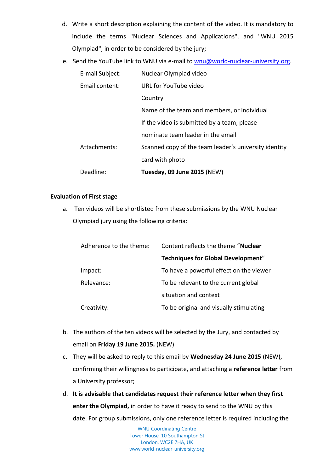- d. Write a short description explaining the content of the video. It is mandatory to include the terms "Nuclear Sciences and Applications", and "WNU 2015 Olympiad", in order to be considered by the jury;
- e. Send the YouTube link to WNU via e-mail to [wnu@world-nuclear-university.org.](mailto:wnu@world-nuclear-university.org)

| E-mail Subject:       | Nuclear Olympiad video                                |
|-----------------------|-------------------------------------------------------|
| <b>Email content:</b> | URL for YouTube video                                 |
|                       | Country                                               |
|                       | Name of the team and members, or individual           |
|                       | If the video is submitted by a team, please           |
|                       | nominate team leader in the email                     |
| Attachments:          | Scanned copy of the team leader's university identity |
|                       | card with photo                                       |
| Deadline:             | Tuesday, 09 June 2015 (NEW)                           |

#### **Evaluation of First stage**

a. Ten videos will be shortlisted from these submissions by the WNU Nuclear Olympiad jury using the following criteria:

| Adherence to the theme: | Content reflects the theme "Nuclear"      |
|-------------------------|-------------------------------------------|
|                         | <b>Techniques for Global Development"</b> |
| Impact:                 | To have a powerful effect on the viewer   |
| Relevance:              | To be relevant to the current global      |
|                         | situation and context                     |
| Creativity:             | To be original and visually stimulating   |
|                         |                                           |

- b. The authors of the ten videos will be selected by the Jury, and contacted by email on **Friday 19 June 2015.** (NEW)
- c. They will be asked to reply to this email by **Wednesday 24 June 2015** (NEW), confirming their willingness to participate, and attaching a **reference letter** from a University professor;
- d. **It is advisable that candidates request their reference letter when they first enter the Olympiad,** in order to have it ready to send to the WNU by this date. For group submissions, only one reference letter is required including the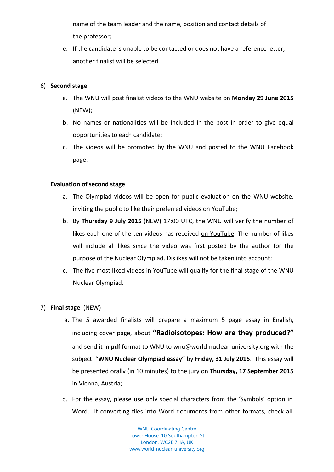name of the team leader and the name, position and contact details of the professor;

e. If the candidate is unable to be contacted or does not have a reference letter, another finalist will be selected.

#### 6) **Second stage**

- a. The WNU will post finalist videos to the WNU website on **Monday 29 June 2015** (NEW);
- b. No names or nationalities will be included in the post in order to give equal opportunities to each candidate;
- c. The videos will be promoted by the WNU and posted to the WNU Facebook page.

#### **Evaluation of second stage**

- a. The Olympiad videos will be open for public evaluation on the WNU website, inviting the public to like their preferred videos on YouTube;
- b. By **Thursday 9 July 2015** (NEW) 17:00 UTC, the WNU will verify the number of likes each one of the ten videos has received on YouTube. The number of likes will include all likes since the video was first posted by the author for the purpose of the Nuclear Olympiad. Dislikes will not be taken into account;
- c. The five most liked videos in YouTube will qualify for the final stage of the WNU Nuclear Olympiad.

#### 7) **Final stage** (NEW)

- a. The 5 awarded finalists will prepare a maximum 5 page essay in English, including cover page, about **"Radioisotopes: How are they produced?"**  and send it in **pdf** format to WNU to [wnu@world-nuclear-university.org](mailto:wnu@world-nuclear-university.org) with the subject: "**WNU Nuclear Olympiad essay"** by **Friday, 31 July 2015**. This essay will be presented orally (in 10 minutes) to the jury on **Thursday, 17 September 2015** in Vienna, Austria;
- b. For the essay, please use only special characters from the 'Symbols' option in Word. If converting files into Word documents from other formats, check all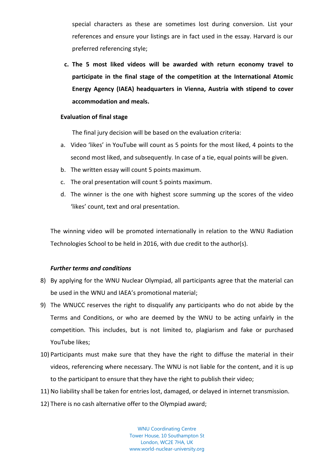special characters as these are sometimes lost during conversion. List your references and ensure your listings are in fact used in the essay. Harvard is our preferred referencing style;

**c. The 5 most liked videos will be awarded with return economy travel to participate in the final stage of the competition at the International Atomic Energy Agency (IAEA) headquarters in Vienna, Austria with stipend to cover accommodation and meals.**

#### **Evaluation of final stage**

The final jury decision will be based on the evaluation criteria:

- a. Video 'likes' in YouTube will count as 5 points for the most liked, 4 points to the second most liked, and subsequently. In case of a tie, equal points will be given.
- b. The written essay will count 5 points maximum.
- c. The oral presentation will count 5 points maximum.
- d. The winner is the one with highest score summing up the scores of the video 'likes' count, text and oral presentation.

The winning video will be promoted internationally in relation to the WNU Radiation Technologies School to be held in 2016, with due credit to the author(s).

#### *Further terms and conditions*

- 8) By applying for the WNU Nuclear Olympiad, all participants agree that the material can be used in the WNU and IAEA's promotional material;
- 9) The WNUCC reserves the right to disqualify any participants who do not abide by the Terms and Conditions, or who are deemed by the WNU to be acting unfairly in the competition. This includes, but is not limited to, plagiarism and fake or purchased YouTube likes;
- 10) Participants must make sure that they have the right to diffuse the material in their videos, referencing where necessary. The WNU is not liable for the content, and it is up to the participant to ensure that they have the right to publish their video;
- 11) No liability shall be taken for entries lost, damaged, or delayed in internet transmission.
- 12) There is no cash alternative offer to the Olympiad award;